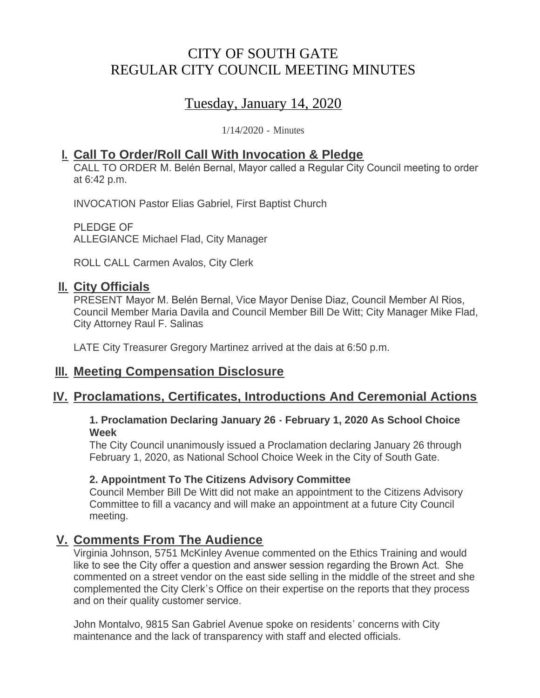# CITY OF SOUTH GATE REGULAR CITY COUNCIL MEETING MINUTES

# Tuesday, January 14, 2020

1/14/2020 - Minutes

# **Call To Order/Roll Call With Invocation & Pledge I.**

CALL TO ORDER M. Belén Bernal, Mayor called a Regular City Council meeting to order at 6:42 p.m.

INVOCATION Pastor Elias Gabriel, First Baptist Church

PLEDGE OF ALLEGIANCE Michael Flad, City Manager

ROLL CALL Carmen Avalos, City Clerk

# **II.** City Officials

PRESENT Mayor M. Belén Bernal, Vice Mayor Denise Diaz, Council Member Al Rios, Council Member Maria Davila and Council Member Bill De Witt; City Manager Mike Flad, City Attorney Raul F. Salinas

LATE City Treasurer Gregory Martinez arrived at the dais at 6:50 p.m.

# **Meeting Compensation Disclosure III.**

# **Proclamations, Certificates, Introductions And Ceremonial Actions IV.**

#### **1. Proclamation Declaring January 26 - February 1, 2020 As School Choice Week**

The City Council unanimously issued a Proclamation declaring January 26 through February 1, 2020, as National School Choice Week in the City of South Gate.

#### **2. Appointment To The Citizens Advisory Committee**

Council Member Bill De Witt did not make an appointment to the Citizens Advisory Committee to fill a vacancy and will make an appointment at a future City Council meeting.

# **Comments From The Audience V.**

Virginia Johnson, 5751 McKinley Avenue commented on the Ethics Training and would like to see the City offer a question and answer session regarding the Brown Act. She commented on a street vendor on the east side selling in the middle of the street and she complemented the City Clerk's Office on their expertise on the reports that they process and on their quality customer service.

John Montalvo, 9815 San Gabriel Avenue spoke on residents' concerns with City maintenance and the lack of transparency with staff and elected officials.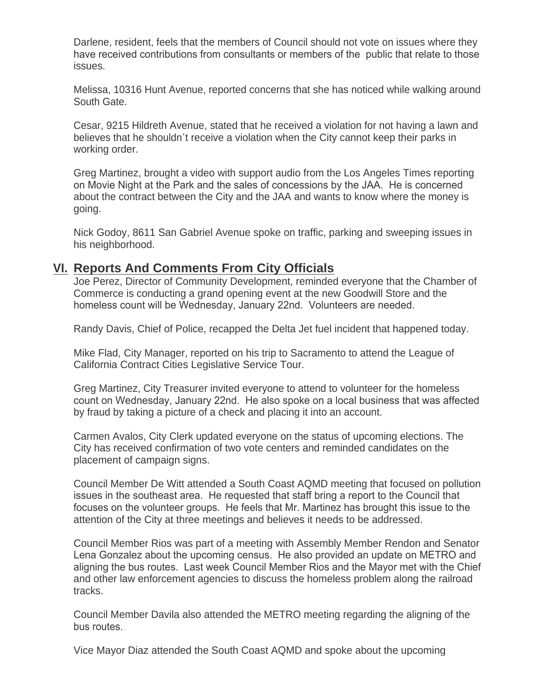Darlene, resident, feels that the members of Council should not vote on issues where they have received contributions from consultants or members of the public that relate to those issues.

Melissa, 10316 Hunt Avenue, reported concerns that she has noticed while walking around South Gate.

Cesar, 9215 Hildreth Avenue, stated that he received a violation for not having a lawn and believes that he shouldn't receive a violation when the City cannot keep their parks in working order.

Greg Martinez, brought a video with support audio from the Los Angeles Times reporting on Movie Night at the Park and the sales of concessions by the JAA. He is concerned about the contract between the City and the JAA and wants to know where the money is going.

Nick Godoy, 8611 San Gabriel Avenue spoke on traffic, parking and sweeping issues in his neighborhood.

# **Reports And Comments From City Officials VI.**

Joe Perez, Director of Community Development, reminded everyone that the Chamber of Commerce is conducting a grand opening event at the new Goodwill Store and the homeless count will be Wednesday, January 22nd. Volunteers are needed.

Randy Davis, Chief of Police, recapped the Delta Jet fuel incident that happened today.

Mike Flad, City Manager, reported on his trip to Sacramento to attend the League of California Contract Cities Legislative Service Tour.

Greg Martinez, City Treasurer invited everyone to attend to volunteer for the homeless count on Wednesday, January 22nd. He also spoke on a local business that was affected by fraud by taking a picture of a check and placing it into an account.

Carmen Avalos, City Clerk updated everyone on the status of upcoming elections. The City has received confirmation of two vote centers and reminded candidates on the placement of campaign signs.

Council Member De Witt attended a South Coast AQMD meeting that focused on pollution issues in the southeast area. He requested that staff bring a report to the Council that focuses on the volunteer groups. He feels that Mr. Martinez has brought this issue to the attention of the City at three meetings and believes it needs to be addressed.

Council Member Rios was part of a meeting with Assembly Member Rendon and Senator Lena Gonzalez about the upcoming census. He also provided an update on METRO and aligning the bus routes. Last week Council Member Rios and the Mayor met with the Chief and other law enforcement agencies to discuss the homeless problem along the railroad tracks.

Council Member Davila also attended the METRO meeting regarding the aligning of the bus routes.

Vice Mayor Diaz attended the South Coast AQMD and spoke about the upcoming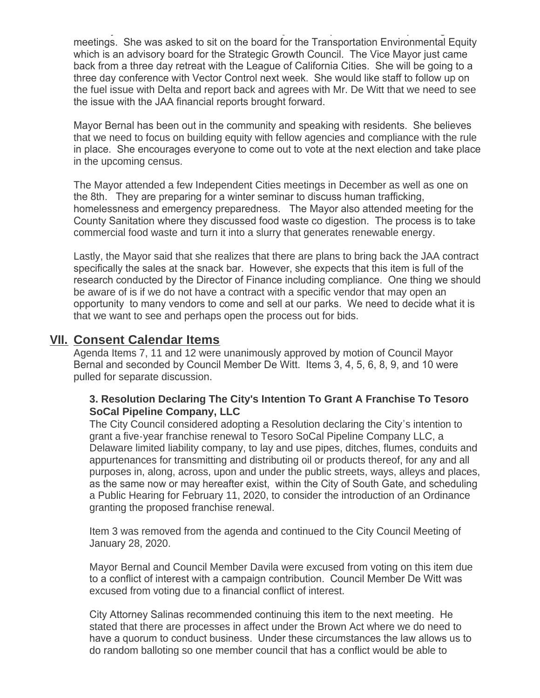Vice Mayor Diaz attended the South Coast AQMD and spoke about the upcoming meetings. She was asked to sit on the board for the Transportation Environmental Equity which is an advisory board for the Strategic Growth Council. The Vice Mayor just came back from a three day retreat with the League of California Cities. She will be going to a three day conference with Vector Control next week. She would like staff to follow up on the fuel issue with Delta and report back and agrees with Mr. De Witt that we need to see the issue with the JAA financial reports brought forward.

Mayor Bernal has been out in the community and speaking with residents. She believes that we need to focus on building equity with fellow agencies and compliance with the rule in place. She encourages everyone to come out to vote at the next election and take place in the upcoming census.

The Mayor attended a few Independent Cities meetings in December as well as one on the 8th. They are preparing for a winter seminar to discuss human trafficking, homelessness and emergency preparedness. The Mayor also attended meeting for the County Sanitation where they discussed food waste co digestion. The process is to take commercial food waste and turn it into a slurry that generates renewable energy.

Lastly, the Mayor said that she realizes that there are plans to bring back the JAA contract specifically the sales at the snack bar. However, she expects that this item is full of the research conducted by the Director of Finance including compliance. One thing we should be aware of is if we do not have a contract with a specific vendor that may open an opportunity to many vendors to come and sell at our parks. We need to decide what it is that we want to see and perhaps open the process out for bids.

### **Consent Calendar Items VII.**

Agenda Items 7, 11 and 12 were unanimously approved by motion of Council Mayor Bernal and seconded by Council Member De Witt. Items 3, 4, 5, 6, 8, 9, and 10 were pulled for separate discussion.

#### **3. Resolution Declaring The City's Intention To Grant A Franchise To Tesoro SoCal Pipeline Company, LLC**

The City Council considered adopting a Resolution declaring the City's intention to grant a five-year franchise renewal to Tesoro SoCal Pipeline Company LLC, a Delaware limited liability company, to lay and use pipes, ditches, flumes, conduits and appurtenances for transmitting and distributing oil or products thereof, for any and all purposes in, along, across, upon and under the public streets, ways, alleys and places, as the same now or may hereafter exist, within the City of South Gate, and scheduling a Public Hearing for February 11, 2020, to consider the introduction of an Ordinance granting the proposed franchise renewal.

Item 3 was removed from the agenda and continued to the City Council Meeting of January 28, 2020.

Mayor Bernal and Council Member Davila were excused from voting on this item due to a conflict of interest with a campaign contribution. Council Member De Witt was excused from voting due to a financial conflict of interest.

City Attorney Salinas recommended continuing this item to the next meeting. He stated that there are processes in affect under the Brown Act where we do need to have a quorum to conduct business. Under these circumstances the law allows us to do random balloting so one member council that has a conflict would be able to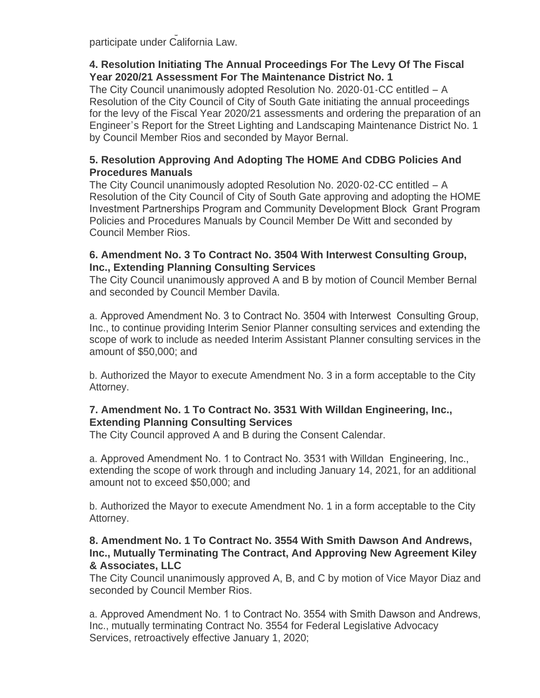do random balloting so one member council that has a conflict would be able to participate under California Law.

#### **4. Resolution Initiating The Annual Proceedings For The Levy Of The Fiscal Year 2020/21 Assessment For The Maintenance District No. 1**

The City Council unanimously adopted Resolution No. 2020-01-CC entitled – A Resolution of the City Council of City of South Gate initiating the annual proceedings for the levy of the Fiscal Year 2020/21 assessments and ordering the preparation of an Engineer's Report for the Street Lighting and Landscaping Maintenance District No. 1 by Council Member Rios and seconded by Mayor Bernal.

#### **5. Resolution Approving And Adopting The HOME And CDBG Policies And Procedures Manuals**

The City Council unanimously adopted Resolution No. 2020-02-CC entitled – A Resolution of the City Council of City of South Gate approving and adopting the HOME Investment Partnerships Program and Community Development Block Grant Program Policies and Procedures Manuals by Council Member De Witt and seconded by Council Member Rios.

#### **6. Amendment No. 3 To Contract No. 3504 With Interwest Consulting Group, Inc., Extending Planning Consulting Services**

The City Council unanimously approved A and B by motion of Council Member Bernal and seconded by Council Member Davila.

a. Approved Amendment No. 3 to Contract No. 3504 with Interwest Consulting Group, Inc., to continue providing Interim Senior Planner consulting services and extending the scope of work to include as needed Interim Assistant Planner consulting services in the amount of \$50,000; and

b. Authorized the Mayor to execute Amendment No. 3 in a form acceptable to the City Attorney.

#### **7. Amendment No. 1 To Contract No. 3531 With Willdan Engineering, Inc., Extending Planning Consulting Services**

The City Council approved A and B during the Consent Calendar.

a. Approved Amendment No. 1 to Contract No. 3531 with Willdan Engineering, Inc., extending the scope of work through and including January 14, 2021, for an additional amount not to exceed \$50,000; and

b. Authorized the Mayor to execute Amendment No. 1 in a form acceptable to the City Attorney.

#### **8. Amendment No. 1 To Contract No. 3554 With Smith Dawson And Andrews, Inc., Mutually Terminating The Contract, And Approving New Agreement Kiley & Associates, LLC**

The City Council unanimously approved A, B, and C by motion of Vice Mayor Diaz and seconded by Council Member Rios.

a. Approved Amendment No. 1 to Contract No. 3554 with Smith Dawson and Andrews, Inc., mutually terminating Contract No. 3554 for Federal Legislative Advocacy Services, retroactively effective January 1, 2020;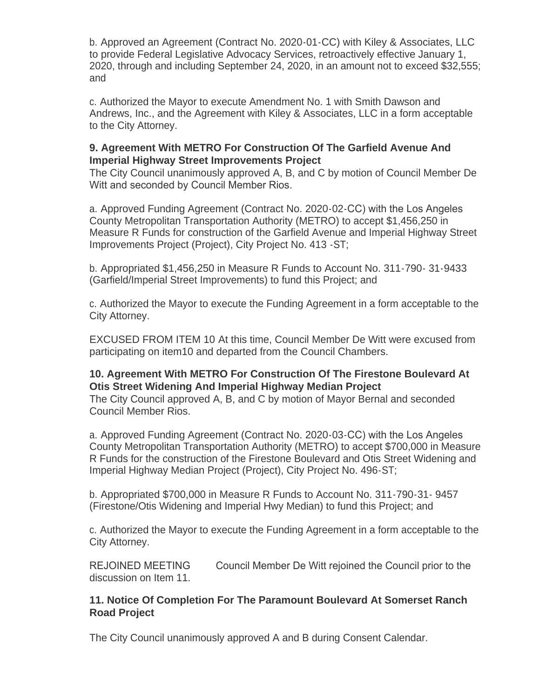b. Approved an Agreement (Contract No. 2020-01-CC) with Kiley & Associates, LLC to provide Federal Legislative Advocacy Services, retroactively effective January 1, 2020, through and including September 24, 2020, in an amount not to exceed \$32,555; and

c. Authorized the Mayor to execute Amendment No. 1 with Smith Dawson and Andrews, Inc., and the Agreement with Kiley & Associates, LLC in a form acceptable to the City Attorney.

#### **9. Agreement With METRO For Construction Of The Garfield Avenue And Imperial Highway Street Improvements Project**

The City Council unanimously approved A, B, and C by motion of Council Member De Witt and seconded by Council Member Rios.

a. Approved Funding Agreement (Contract No. 2020-02-CC) with the Los Angeles County Metropolitan Transportation Authority (METRO) to accept \$1,456,250 in Measure R Funds for construction of the Garfield Avenue and Imperial Highway Street Improvements Project (Project), City Project No. 413 -ST;

b. Appropriated \$1,456,250 in Measure R Funds to Account No. 311-790- 31-9433 (Garfield/Imperial Street Improvements) to fund this Project; and

c. Authorized the Mayor to execute the Funding Agreement in a form acceptable to the City Attorney.

EXCUSED FROM ITEM 10 At this time, Council Member De Witt were excused from participating on item10 and departed from the Council Chambers.

#### **10. Agreement With METRO For Construction Of The Firestone Boulevard At Otis Street Widening And Imperial Highway Median Project**

The City Council approved A, B, and C by motion of Mayor Bernal and seconded Council Member Rios.

a. Approved Funding Agreement (Contract No. 2020-03-CC) with the Los Angeles County Metropolitan Transportation Authority (METRO) to accept \$700,000 in Measure R Funds for the construction of the Firestone Boulevard and Otis Street Widening and Imperial Highway Median Project (Project), City Project No. 496-ST;

b. Appropriated \$700,000 in Measure R Funds to Account No. 311-790-31- 9457 (Firestone/Otis Widening and Imperial Hwy Median) to fund this Project; and

c. Authorized the Mayor to execute the Funding Agreement in a form acceptable to the City Attorney.

REJOINED MEETING Council Member De Witt rejoined the Council prior to the discussion on Item 11.

#### **11. Notice Of Completion For The Paramount Boulevard At Somerset Ranch Road Project**

The City Council unanimously approved A and B during Consent Calendar.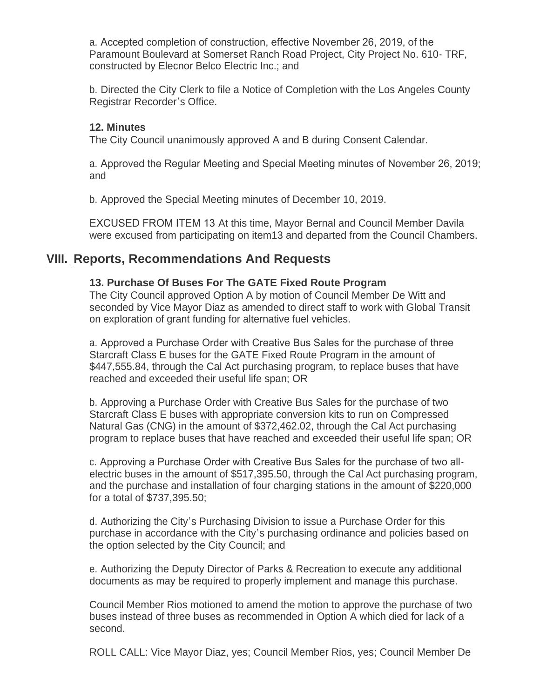a. Accepted completion of construction, effective November 26, 2019, of the Paramount Boulevard at Somerset Ranch Road Project, City Project No. 610- TRF, constructed by Elecnor Belco Electric Inc.; and

b. Directed the City Clerk to file a Notice of Completion with the Los Angeles County Registrar Recorder's Office.

#### **12. Minutes**

The City Council unanimously approved A and B during Consent Calendar.

a. Approved the Regular Meeting and Special Meeting minutes of November 26, 2019; and

b. Approved the Special Meeting minutes of December 10, 2019.

EXCUSED FROM ITEM 13 At this time, Mayor Bernal and Council Member Davila were excused from participating on item13 and departed from the Council Chambers.

# **Reports, Recommendations And Requests VIII.**

#### **13. Purchase Of Buses For The GATE Fixed Route Program**

The City Council approved Option A by motion of Council Member De Witt and seconded by Vice Mayor Diaz as amended to direct staff to work with Global Transit on exploration of grant funding for alternative fuel vehicles.

a. Approved a Purchase Order with Creative Bus Sales for the purchase of three Starcraft Class E buses for the GATE Fixed Route Program in the amount of \$447,555.84, through the Cal Act purchasing program, to replace buses that have reached and exceeded their useful life span; OR

b. Approving a Purchase Order with Creative Bus Sales for the purchase of two Starcraft Class E buses with appropriate conversion kits to run on Compressed Natural Gas (CNG) in the amount of \$372,462.02, through the Cal Act purchasing program to replace buses that have reached and exceeded their useful life span; OR

c. Approving a Purchase Order with Creative Bus Sales for the purchase of two allelectric buses in the amount of \$517,395.50, through the Cal Act purchasing program, and the purchase and installation of four charging stations in the amount of \$220,000 for a total of \$737,395.50;

d. Authorizing the City's Purchasing Division to issue a Purchase Order for this purchase in accordance with the City's purchasing ordinance and policies based on the option selected by the City Council; and

e. Authorizing the Deputy Director of Parks & Recreation to execute any additional documents as may be required to properly implement and manage this purchase.

Council Member Rios motioned to amend the motion to approve the purchase of two buses instead of three buses as recommended in Option A which died for lack of a second.

ROLL CALL: Vice Mayor Diaz, yes; Council Member Rios, yes; Council Member De